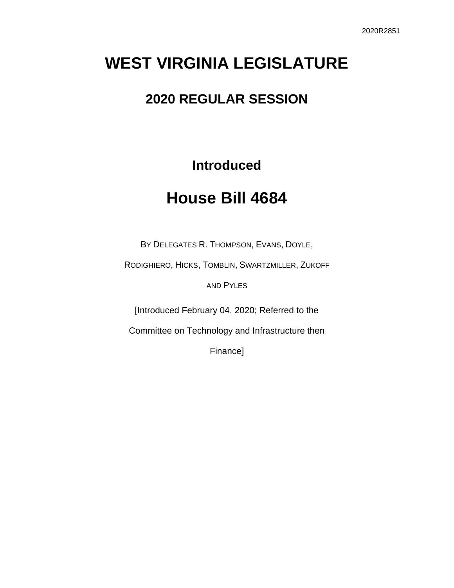# **WEST VIRGINIA LEGISLATURE**

### **2020 REGULAR SESSION**

**Introduced**

## **House Bill 4684**

BY DELEGATES R. THOMPSON, EVANS, DOYLE,

RODIGHIERO, HICKS, TOMBLIN, SWARTZMILLER, ZUKOFF

AND PYLES

[Introduced February 04, 2020; Referred to the

Committee on Technology and Infrastructure then

Finance]